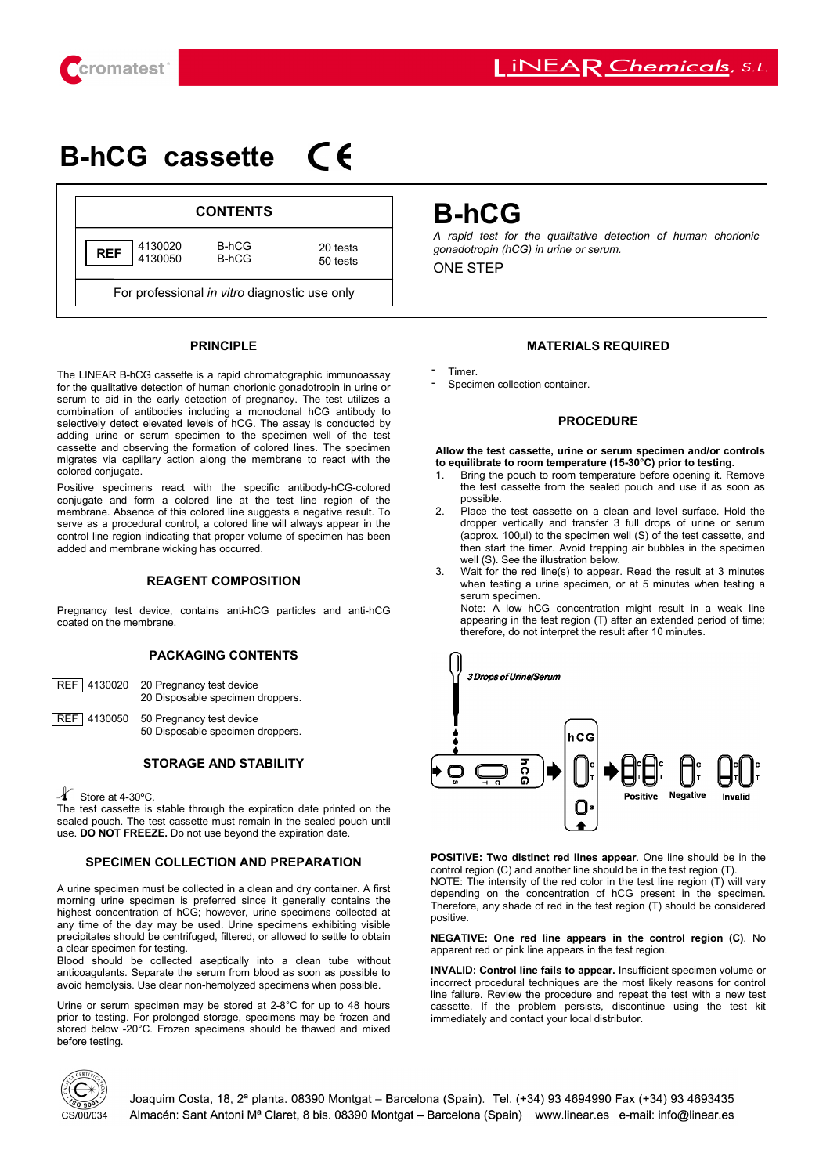

# $\epsilon$ **Β-hCG cassette**



## **PRINCIPLE**

The LINEAR B-hCG cassette is a rapid chromatographic immunoassay for the qualitative detection of human chorionic gonadotropin in urine or serum to aid in the early detection of pregnancy. The test utilizes a combination of antibodies including a monoclonal hCG antibody to selectively detect elevated levels of hCG. The assay is conducted by adding urine or serum specimen to the specimen well of the test cassette and observing the formation of colored lines. The specimen migrates via capillary action along the membrane to react with the colored conjugate.

Positive specimens react with the specific antibody-hCG-colored conjugate and form a colored line at the test line region of the membrane. Absence of this colored line suggests a negative result. To serve as a procedural control, a colored line will always appear in the control line region indicating that proper volume of specimen has been added and membrane wicking has occurred.

## **REAGENT COMPOSITION**

Pregnancy test device, contains anti-hCG particles and anti-hCG coated on the membrane.

# **PACKAGING CONTENTS**

| REF 4130020 | 20 Pregnancy test device<br>20 Disposable specimen droppers. |
|-------------|--------------------------------------------------------------|
|             | REF 4130050 50 Pregnancy test device                         |

50 Disposable specimen droppers.

## **STORAGE AND STABILITY**

Store at 4-30ºC.

The test cassette is stable through the expiration date printed on the sealed pouch. The test cassette must remain in the sealed pouch until use. **DO NOT FREEZE.** Do not use beyond the expiration date.

# **SPECIMEN COLLECTION AND PREPARATION**

A urine specimen must be collected in a clean and dry container. A first morning urine specimen is preferred since it generally contains the highest concentration of hCG; however, urine specimens collected at any time of the day may be used. Urine specimens exhibiting visible precipitates should be centrifuged, filtered, or allowed to settle to obtain a clear specimen for testing.

Blood should be collected aseptically into a clean tube without anticoagulants. Separate the serum from blood as soon as possible to avoid hemolysis. Use clear non-hemolyzed specimens when possible.

Urine or serum specimen may be stored at 2-8°C for up to 48 hours prior to testing. For prolonged storage, specimens may be frozen and stored below -20°C. Frozen specimens should be thawed and mixed before testing.

# **Β-hCG**

*A rapid test for the qualitative detection of human chorionic gonadotropin (hCG) in urine or serum.*

ONE STEP

## **MATERIALS REQUIRED**

- -
- Timer. Specimen collection container.

## **PROCEDURE**

#### **Allow the test cassette, urine or serum specimen and/or controls to equilibrate to room temperature (15-30°C) prior to testing.**

- 1. Bring the pouch to room temperature before opening it. Remove the test cassette from the sealed pouch and use it as soon as possible.
- 2. Place the test cassette on a clean and level surface. Hold the dropper vertically and transfer 3 full drops of urine or serum (approx. 100µl) to the specimen well (S) of the test cassette, and then start the timer. Avoid trapping air bubbles in the specimen well (S). See the illustration below.
- 3. Wait for the red line(s) to appear. Read the result at 3 minutes when testing a urine specimen, or at 5 minutes when testing a serum specimen.

Note: A low hCG concentration might result in a weak line appearing in the test region (T) after an extended period of time; therefore, do not interpret the result after 10 minutes.



**POSITIVE: Two distinct red lines appear**. One line should be in the control region (C) and another line should be in the test region (T). NOTE: The intensity of the red color in the test line region  $(T)$  will vary depending on the concentration of hCG present in the specimen. Therefore, any shade of red in the test region (T) should be considered positive.

#### **NEGATIVE: One red line appears in the control region (C)**. No apparent red or pink line appears in the test region.

**INVALID: Control line fails to appear.** Insufficient specimen volume or incorrect procedural techniques are the most likely reasons for control line failure. Review the procedure and repeat the test with a new test cassette. If the problem persists, discontinue using the test kit immediately and contact your local distributor.